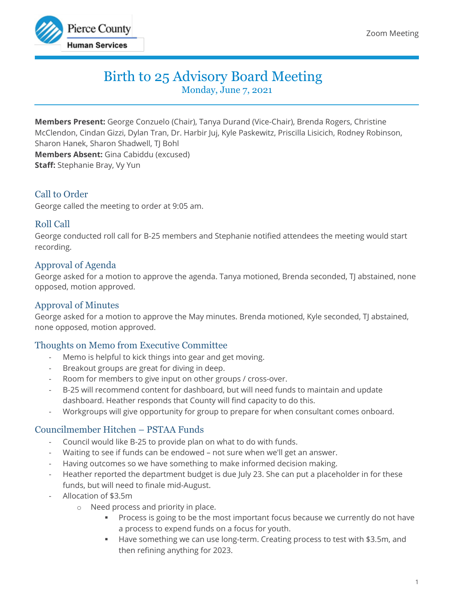

# Birth to 25 Advisory Board Meeting

Monday, June 7, 2021

**Members Present:** George Conzuelo (Chair), Tanya Durand (Vice-Chair), Brenda Rogers, Christine McClendon, Cindan Gizzi, Dylan Tran, Dr. Harbir Juj, Kyle Paskewitz, Priscilla Lisicich, Rodney Robinson, Sharon Hanek, Sharon Shadwell, TJ Bohl **Members Absent:** Gina Cabiddu (excused) **Staff:** Stephanie Bray, Vy Yun

# Call to Order

George called the meeting to order at 9:05 am.

# Roll Call

George conducted roll call for B-25 members and Stephanie notified attendees the meeting would start recording.

# Approval of Agenda

George asked for a motion to approve the agenda. Tanya motioned, Brenda seconded, TJ abstained, none opposed, motion approved.

## Approval of Minutes

George asked for a motion to approve the May minutes. Brenda motioned, Kyle seconded, TJ abstained, none opposed, motion approved.

# Thoughts on Memo from Executive Committee

- Memo is helpful to kick things into gear and get moving.
- Breakout groups are great for diving in deep.
- Room for members to give input on other groups / cross-over.
- B-25 will recommend content for dashboard, but will need funds to maintain and update dashboard. Heather responds that County will find capacity to do this.
- Workgroups will give opportunity for group to prepare for when consultant comes onboard.

# Councilmember Hitchen – PSTAA Funds

- Council would like B-25 to provide plan on what to do with funds.
- Waiting to see if funds can be endowed not sure when we'll get an answer.
- Having outcomes so we have something to make informed decision making.
- Heather reported the department budget is due July 23. She can put a placeholder in for these funds, but will need to finale mid-August.
- Allocation of \$3.5m
	- o Need process and priority in place.
		- Process is going to be the most important focus because we currently do not have a process to expend funds on a focus for youth.
		- Have something we can use long-term. Creating process to test with \$3.5m, and then refining anything for 2023.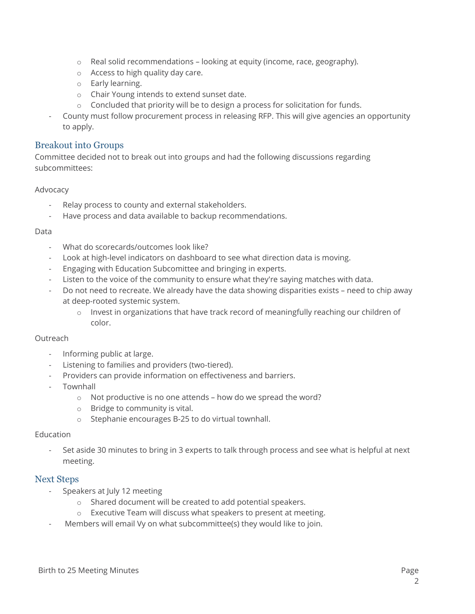- o Real solid recommendations looking at equity (income, race, geography).
- o Access to high quality day care.
- o Early learning.
- o Chair Young intends to extend sunset date.
- $\circ$  Concluded that priority will be to design a process for solicitation for funds.
- County must follow procurement process in releasing RFP. This will give agencies an opportunity to apply.

## Breakout into Groups

Committee decided not to break out into groups and had the following discussions regarding subcommittees:

### Advocacy

- Relay process to county and external stakeholders.
- Have process and data available to backup recommendations.

#### Data

- What do scorecards/outcomes look like?
- Look at high-level indicators on dashboard to see what direction data is moving.
- Engaging with Education Subcomittee and bringing in experts.
- Listen to the voice of the community to ensure what they're saying matches with data.
- Do not need to recreate. We already have the data showing disparities exists need to chip away at deep-rooted systemic system.
	- $\circ$  Invest in organizations that have track record of meaningfully reaching our children of color.

#### **Outreach**

- Informing public at large.
- Listening to families and providers (two-tiered).
- Providers can provide information on effectiveness and barriers.
- Townhall
	- o Not productive is no one attends how do we spread the word?
	- o Bridge to community is vital.
	- o Stephanie encourages B-25 to do virtual townhall.

#### Education

Set aside 30 minutes to bring in 3 experts to talk through process and see what is helpful at next meeting.

### Next Steps

- Speakers at July 12 meeting
	- o Shared document will be created to add potential speakers.
	- o Executive Team will discuss what speakers to present at meeting.
- Members will email Vy on what subcommittee(s) they would like to join.